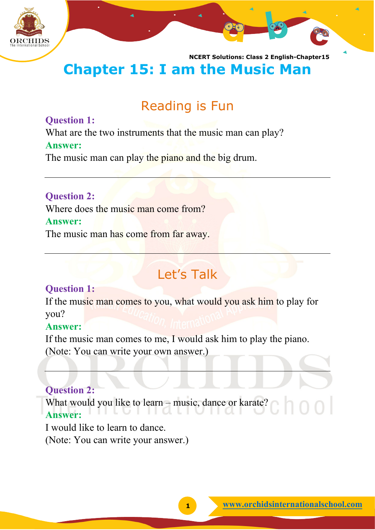

**NCERT Solutions: Class 2 English-Chapter15 Chapter 15: I am the Music Man**

# Reading is Fun

#### **Question 1:**

What are the two instruments that the music man can play?

#### **Answer:**

The music man can play the piano and the big drum.

**Question 2:** Where does the music man come from? **Answer:**

The music man has come from far away.

# Let's Talk

### **Question 1:**

If the music man comes to you, what would you ask him to play for you?

#### **Answer:**

If the music man comes to me, I would ask him to play the piano.

(Note: You can write your own answer.)

### **Question 2:**

What would you like to learn – music, dance or karate? **Answer:**

I would like to learn to dance. (Note: You can write your answer.)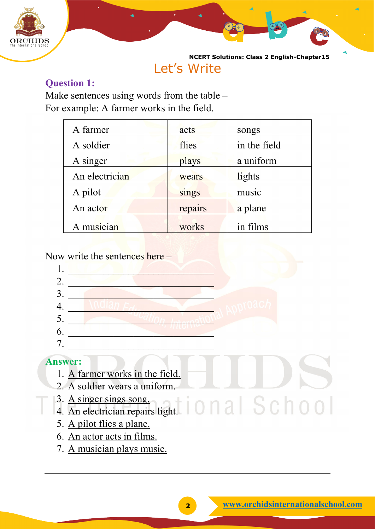

## Let's Write

### **Question 1:**

Make sentences using words from the table – For example: A farmer works in the field.

| A farmer       | acts    | songs        |
|----------------|---------|--------------|
| A soldier      | flies   | in the field |
| A singer       | plays   | a uniform    |
| An electrician | wears   | lights       |
| A pilot        | sings   | music        |
| An actor       | repairs | a plane      |
| A musician     | works   | in films     |

Now write the sentences here –



- 6. An actor acts in films.
- 7. A musician plays music.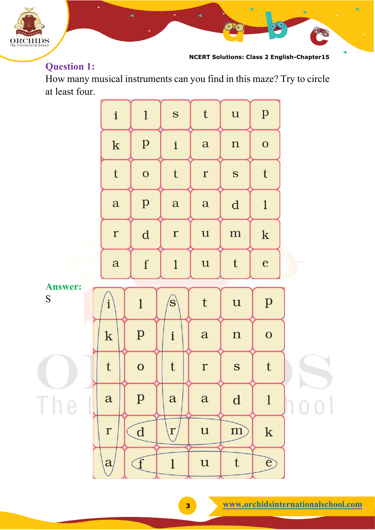

**NCERT Solutions: Class 2 English-Chapter15**

93

### **Question 1:**

How many musical instruments can you find in this maze? Try to circle at least four.